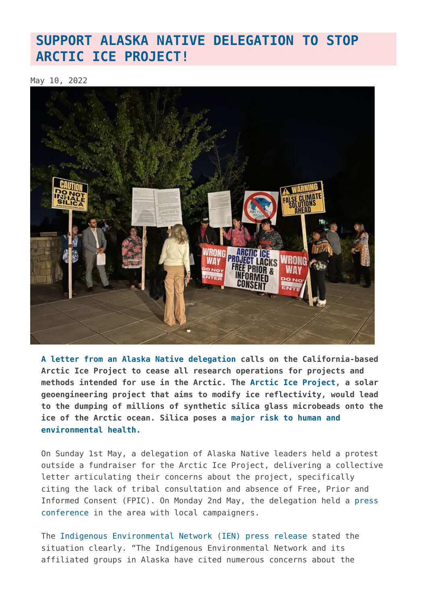## **[SUPPORT ALASKA NATIVE DELEGATION TO STOP](https://www.geoengineeringmonitor.org/2022/05/support-alaska-native-delegation-to-stop-arctic-ice-project/) [ARCTIC ICE PROJECT!](https://www.geoengineeringmonitor.org/2022/05/support-alaska-native-delegation-to-stop-arctic-ice-project/)**

May 10, 2022



**[A letter from an Alaska Native delegation](https://docs.google.com/document/d/1G5b-MSKyV5cI96lyBV140jhyfE-SaPTEt85aVZC5TjM/edit?usp=sharing) calls on the California-based Arctic Ice Project to cease all research operations for projects and methods intended for use in the Arctic. The [Arctic Ice Project](https://www.arcticiceproject.org/), a solar geoengineering project that aims to modify ice reflectivity, would lead to the dumping of millions of synthetic silica glass microbeads onto the ice of the Arctic ocean. Silica poses a [major risk to human and](https://drive.google.com/file/d/1Z8AKBAbdjsd8_8vpxdy6yuewkRqcBxSe/view) [environmental health.](https://drive.google.com/file/d/1Z8AKBAbdjsd8_8vpxdy6yuewkRqcBxSe/view)**

On Sunday 1st May, a delegation of Alaska Native leaders held a protest outside a fundraiser for the Arctic Ice Project, delivering a collective letter articulating their concerns about the project, specifically citing the lack of tribal consultation and absence of Free, Prior and Informed Consent (FPIC). On Monday 2nd May, the delegation held a [press](https://www.facebook.com/watch/live/?ref=watch_permalink&v=553129726180672) [conference](https://www.facebook.com/watch/live/?ref=watch_permalink&v=553129726180672) in the area with local campaigners.

The [Indigenous Environmental Network \(IEN\) press release](https://www.ienearth.org/alaska-natives-excluded-from-fundraiser-event-for-risky-science-experiment-in-arctic/) stated the situation clearly. "The Indigenous Environmental Network and its affiliated groups in Alaska have cited numerous concerns about the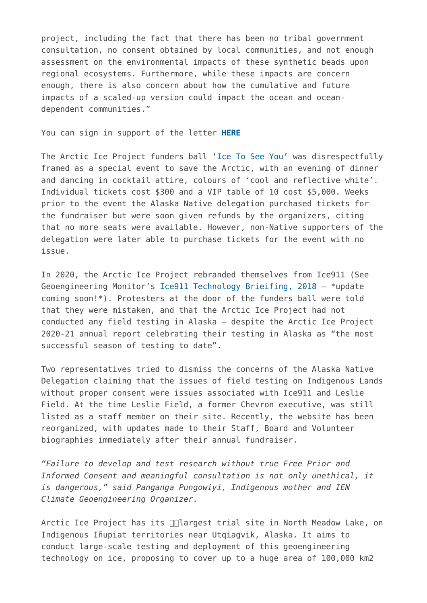project, including the fact that there has been no tribal government consultation, no consent obtained by local communities, and not enough assessment on the environmental impacts of these synthetic beads upon regional ecosystems. Furthermore, while these impacts are concern enough, there is also concern about how the cumulative and future impacts of a scaled-up version could impact the ocean and oceandependent communities."

You can sign in support of the letter **[HERE](https://docs.google.com/forms/d/e/1FAIpQLScOPRxJJzqW7tklIuZ0sUSOObLwMXBOIdh9V0LDfuWZc_V2fQ/viewform)**

The Arctic Ice Project funders ball '[Ice To See You](https://happeningnext.com/event/ice-to-meet-you-eid4snuo21u7i1)' was disrespectfully framed as a special event to save the Arctic, with an evening of dinner and dancing in cocktail attire, colours of 'cool and reflective white'. Individual tickets cost \$300 and a VIP table of 10 cost \$5,000. Weeks prior to the event the Alaska Native delegation purchased tickets for the fundraiser but were soon given refunds by the organizers, citing that no more seats were available. However, non-Native supporters of the delegation were later able to purchase tickets for the event with no issue.

In 2020, the Arctic Ice Project rebranded themselves from Ice911 (See Geoengineering Monitor's [Ice911 Technology Brieifing, 2018](https://www.geoengineeringmonitor.org/2018/04/ice-911-geoengineering-experiment-briefing/) – \*update coming soon!\*). Protesters at the door of the funders ball were told that they were mistaken, and that the Arctic Ice Project had not conducted any field testing in Alaska – despite the Arctic Ice Project 2020-21 annual report celebrating their testing in Alaska as "the most successful season of testing to date".

Two representatives tried to dismiss the concerns of the Alaska Native Delegation claiming that the issues of field testing on Indigenous Lands without proper consent were issues associated with Ice911 and Leslie Field. At the time Leslie Field, a former Chevron executive, was still listed as a staff member on their site. Recently, the website has been reorganized, with updates made to their Staff, Board and Volunteer biographies immediately after their annual fundraiser.

*"Failure to develop and test research without true Free Prior and Informed Consent and meaningful consultation is not only unethical, it is dangerous," said Panganga Pungowiyi, Indigenous mother and IEN Climate Geoengineering Organizer.* 

Arctic Ice Project has its *[[[Largest trial site in North Meadow Lake, on* Indigenous Iñupiat territories near Utqiagvik, Alaska. It aims to conduct large-scale testing and deployment of this geoengineering technology on ice, proposing to cover up to a huge area of 100,000 km2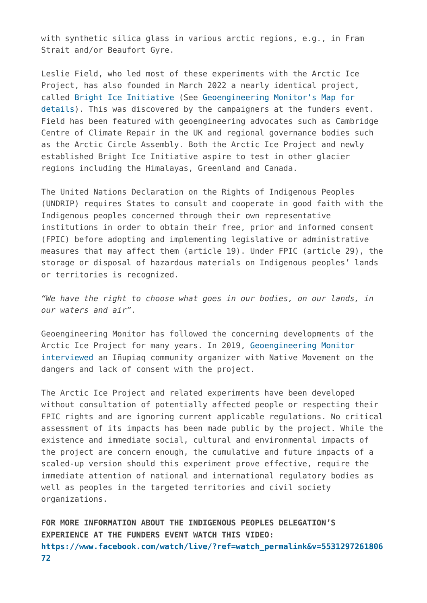with synthetic silica glass in various arctic regions, e.g., in Fram Strait and/or Beaufort Gyre.

Leslie Field, who led most of these experiments with the Arctic Ice Project, has also founded in March 2022 a nearly identical project, called [Bright Ice Initiative](https://www.brighticeinitiative.org/) (See [Geoengineering Monitor's Map for](https://map.geoengineeringmonitor.org/other/bright-ice-initiative) [details\)](https://map.geoengineeringmonitor.org/other/bright-ice-initiative). This was discovered by the campaigners at the funders event. Field has been featured with geoengineering advocates such as Cambridge Centre of Climate Repair in the UK and regional governance bodies such as the Arctic Circle Assembly. Both the Arctic Ice Project and newly established Bright Ice Initiative aspire to test in other glacier regions including the Himalayas, Greenland and Canada.

The United Nations Declaration on the Rights of Indigenous Peoples (UNDRIP) requires States to consult and cooperate in good faith with the Indigenous peoples concerned through their own representative institutions in order to obtain their free, prior and informed consent (FPIC) before adopting and implementing legislative or administrative measures that may affect them (article 19). Under FPIC (article 29), the storage or disposal of hazardous materials on Indigenous peoples' lands or territories is recognized.

*"We have the right to choose what goes in our bodies, on our lands, in our waters and air".* 

Geoengineering Monitor has followed the concerning developments of the Arctic Ice Project for many years. In 2019, [Geoengineering Monitor](https://www.geoengineeringmonitor.org/2019/02/arctic-geoengineering-experiment-is-dangerous-lacks-community-consent-inupiaq-organizer/) [interviewed a](https://www.geoengineeringmonitor.org/2019/02/arctic-geoengineering-experiment-is-dangerous-lacks-community-consent-inupiaq-organizer/)n Iñupiaq community organizer with Native Movement on the dangers and lack of consent with the project.

The Arctic Ice Project and related experiments have been developed without consultation of potentially affected people or respecting their FPIC rights and are ignoring current applicable regulations. No critical assessment of its impacts has been made public by the project. While the existence and immediate social, cultural and environmental impacts of the project are concern enough, the cumulative and future impacts of a scaled-up version should this experiment prove effective, require the immediate attention of national and international regulatory bodies as well as peoples in the targeted territories and civil society organizations.

**FOR MORE INFORMATION ABOUT THE INDIGENOUS PEOPLES DELEGATION'S EXPERIENCE AT THE FUNDERS EVENT WATCH THIS VIDEO: [https://www.facebook.com/watch/live/?ref=watch\\_permalink&v=5531297261806](https://www.facebook.com/watch/live/?ref=watch_permalink&v=553129726180672) [72](https://www.facebook.com/watch/live/?ref=watch_permalink&v=553129726180672)**